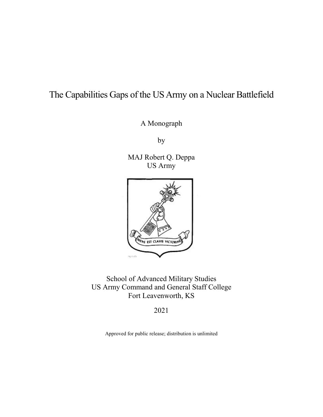# The Capabilities Gaps of the US Army on a Nuclear Battlefield

A Monograph

by

MAJ Robert Q. Deppa US Army



School of Advanced Military Studies US Army Command and General Staff College Fort Leavenworth, KS

2021

Approved for public release; distribution is unlimited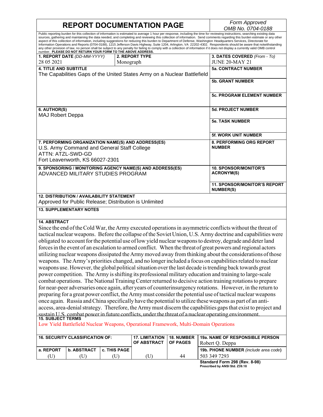# **REPORT DOCUMENTATION PAGE** *Form Approved*

*OMB No. 0704-0188*

Public reporting burden for this collection of information is estimated to average 1 hour per response, including the time for reviewing instructions, searching existing data sources, gathering and maintaining the data needed, and completing and reviewing this collection of information. Send comments regarding this burden estimate or any other aspect of this collection of information, including suggestions for reducing this burden to Department of Defense, Washington Headquarters Services, Directorate for Information Operations and Reports (0704-0188), 1215 Jefferson Davis Highway, Suite 1204, Arlington, VA 22202-4302. Respondents should be aware that notwithstanding any other provision of law, no person shall be subject to any penalty for failing to comply with a collection of information if it does not display a currently valid OMB control<br>number. PLEASE DO NOT RETURN YOUR FORM TO T **1. REPORT DATE** *(DD-MM-YYYY)* 28 05 2021 **2. REPORT TYPE** Monograph **3. DATES COVERED** *(From - To)* JUNE 20-MAY 21

| <b>4. TITLE AND SUBTITLE</b><br>The Capabilities Gaps of the United States Army on a Nuclear Battlefield                                                  | <b>5a. CONTRACT NUMBER</b> |                                                         |
|-----------------------------------------------------------------------------------------------------------------------------------------------------------|----------------------------|---------------------------------------------------------|
|                                                                                                                                                           |                            | <b>5b. GRANT NUMBER</b>                                 |
|                                                                                                                                                           |                            | <b>5c. PROGRAM ELEMENT NUMBER</b>                       |
| 6. AUTHOR(S)<br><b>MAJ Robert Deppa</b>                                                                                                                   |                            | <b>5d. PROJECT NUMBER</b>                               |
|                                                                                                                                                           |                            | <b>5e. TASK NUMBER</b>                                  |
|                                                                                                                                                           |                            | <b>5f. WORK UNIT NUMBER</b>                             |
| 7. PERFORMING ORGANIZATION NAME(S) AND ADDRESS(ES)<br>U.S. Army Command and General Staff College<br>ATTN: ATZL-SWD-GD<br>Fort Leavenworth, KS 66027-2301 |                            | <b>8. PERFORMING ORG REPORT</b><br><b>NUMBER</b>        |
| 9. SPONSORING / MONITORING AGENCY NAME(S) AND ADDRESS(ES)<br>ADVANCED MILITARY STUDIES PROGRAM                                                            |                            | <b>10. SPONSOR/MONITOR'S</b><br><b>ACRONYM(S)</b>       |
|                                                                                                                                                           |                            | <b>11. SPONSOR/MONITOR'S REPORT</b><br><b>NUMBER(S)</b> |
| <b>12. DISTRIBUTION / AVAILABILITY STATEMENT</b><br>Approved for Public Release: Distribution is Unlimited                                                |                            |                                                         |

#### **13. SUPPLEMENTARY NOTES**

#### **14. ABSTRACT**

Since the end of the Cold War, the Army executed operations in asymmetric conflicts without the threat of tactical nuclear weapons. Before the collapse of the Soviet Union, U.S. Army doctrine and capabilities were obligated to account for the potential use of low yield nuclear weapons to destroy, degrade and deter land forces in the event of an escalation to armed conflict. When the threat of great powers and regional actors utilizing nuclear weapons dissipated the Army moved away from thinking about the considerations of those weapons. The Army's priorities changed, and no longer included a focus on capabilities related to nuclear weapons use. However, the global political situation over the last decade is trending back towards great power competition. The Army is shifting its professional military education and training to large-scale combat operations. The National Training Center returned to decisive action training rotations to prepare for near-peer adversaries once again, after years of counterinsurgency rotations. However, in the return to preparing for a great power conflict, the Army must consider the potential use of tactical nuclear weapons once again. Russia and China specifically have the potential to utilize these weapons as part of an antiaccess, area-denial strategy. Therefore, the Army must discern the capabilities gaps that exist to project and sustain U.S. combat power in future conflicts, under the threat of a nuclear operating environment. **15. SUBJECT TERMS**

Low Yield Battlefield Nuclear Weapons, Operational Framework, Multi-Domain Operations

|             | <b>16. SECURITY CLASSIFICATION OF:</b> |                       | <b>17. LIMITATION 18. NUMBER</b><br><b>OF ABSTRACT LOF PAGES</b> |    | <b>19a. NAME OF RESPONSIBLE PERSON</b><br>Robert O. Deppa |
|-------------|----------------------------------------|-----------------------|------------------------------------------------------------------|----|-----------------------------------------------------------|
| l a. REPORT | <b>b. ABSTRACT</b>                     | <b>C. THIS PAGE I</b> |                                                                  |    | <b>19b. PHONE NUMBER</b> (include area code)              |
| U)          |                                        |                       |                                                                  | 44 | 503 349 7293                                              |
|             |                                        |                       |                                                                  |    | $\cdots$<br>$\sim$ $\sim$ $\sim$<br>- - - -               |

**Standard Form 298 (Rev. 8-98) Prescribed by ANSI Std. Z39.18**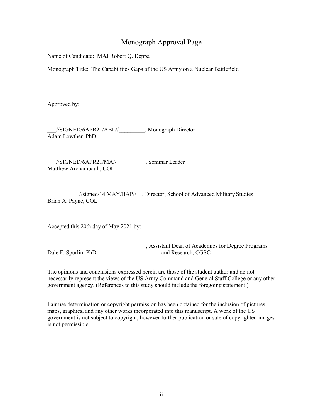# Monograph Approval Page

Name of Candidate: MAJ Robert Q. Deppa

Monograph Title: The Capabilities Gaps of the US Army on a Nuclear Battlefield

Approved by:

//SIGNED/6APR21/ABL// , Monograph Director Adam Lowther, PhD

\_\_\_//SIGNED/6APR21/MA//\_\_\_\_\_\_\_\_\_\_, Seminar Leader Matthew Archambault, COL

\_\_\_\_\_\_\_\_\_\_\_//signed/14 MAY/BAP//\_\_, Director, School of Advanced Military Studies Brian A. Payne, COL

Accepted this 20th day of May 2021 by:

Dale F. Spurlin, PhD

\_\_\_\_\_\_\_\_\_\_\_\_\_\_\_\_\_\_\_\_\_\_\_\_\_\_\_\_\_\_\_\_\_\_, Assistant Dean of Academics for Degree Programs

The opinions and conclusions expressed herein are those of the student author and do not necessarily represent the views of the US Army Command and General Staff College or any other government agency. (References to this study should include the foregoing statement.)

Fair use determination or copyright permission has been obtained for the inclusion of pictures, maps, graphics, and any other works incorporated into this manuscript. A work of the US government is not subject to copyright, however further publication or sale of copyrighted images is not permissible.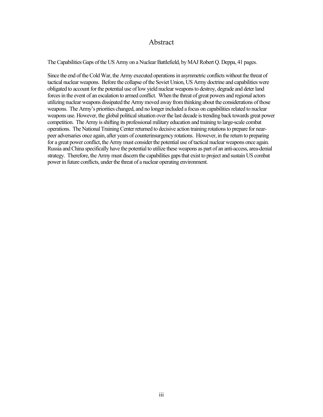### Abstract

The Capabilities Gaps of the US Army on a Nuclear Battlefield, by MAJ Robert Q. Deppa, 41 pages.

Since the end of the Cold War, the Army executed operations in asymmetric conflicts without the threat of tactical nuclear weapons. Before the collapse of the Soviet Union, US Army doctrine and capabilities were obligated to account for the potential use of low yield nuclear weapons to destroy, degrade and deter land forces in the event of an escalation to armed conflict. When the threat of great powers and regional actors utilizing nuclear weapons dissipated the Army moved away from thinking about the considerations of those weapons. The Army's priorities changed, and no longer included a focus on capabilities related to nuclear weapons use. However, the global political situation over the last decade is trending back towards great power competition. The Army is shifting its professional military education and training to large-scale combat operations. The National Training Center returned to decisive action training rotations to prepare for nearpeer adversaries once again, after years of counterinsurgency rotations. However, in the return to preparing for a great power conflict, the Army must consider the potential use of tactical nuclear weapons once again. Russia and China specifically have the potential to utilize these weapons as part of an anti-access, area-denial strategy. Therefore, the Army must discern the capabilities gaps that exist to project and sustain US combat power in future conflicts, under the threat of a nuclear operating environment.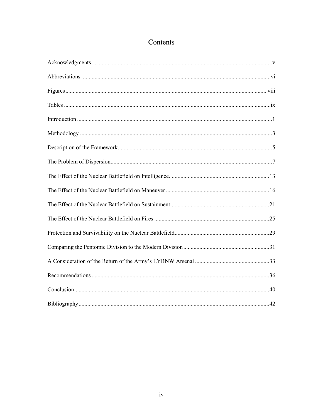# Contents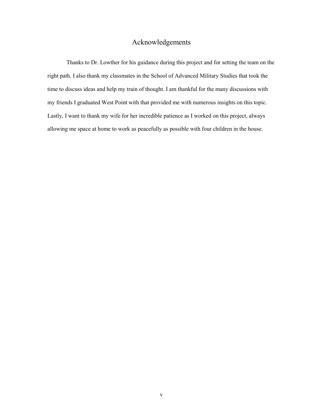# Acknowledgements

Thanks to Dr. Lowther for his guidance during this project and for setting the team on the right path. I also thank my classmates in the School of Advanced Military Studies that took the time to discuss ideas and help my train of thought. I am thankful for the many discussions with my friends I graduated West Point with that provided me with numerous insights on this topic. Lastly, I want to thank my wife for her incredible patience as I worked on this project, always allowing me space at home to work as peacefully as possible with four children in the house.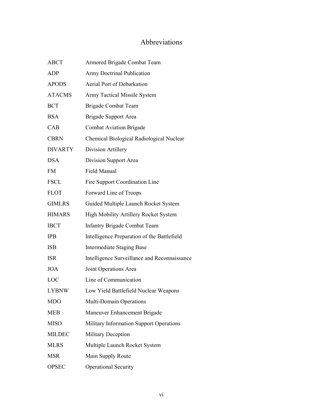# Abbreviations

| <b>ABCT</b>    | Armored Brigade Combat Team                  |
|----------------|----------------------------------------------|
| <b>ADP</b>     | <b>Army Doctrinal Publication</b>            |
| <b>APODS</b>   | Aerial Port of Debarkation                   |
| <b>ATACMS</b>  | Army Tactical Missile System                 |
| <b>BCT</b>     | <b>Brigade Combat Team</b>                   |
| <b>BSA</b>     | Brigade Support Area                         |
| CAB            | <b>Combat Aviation Brigade</b>               |
| <b>CBRN</b>    | Chemical Biological Radiological Nuclear     |
| <b>DIVARTY</b> | Division Artillery                           |
| <b>DSA</b>     | Division Support Area                        |
| <b>FM</b>      | Field Manual                                 |
| <b>FSCL</b>    | Fire Support Coordination Line               |
| <b>FLOT</b>    | Forward Line of Troops                       |
| <b>GIMLRS</b>  | Guided Multiple Launch Rocket System         |
| <b>HIMARS</b>  | High Mobility Artillery Rocket System        |
| <b>IBCT</b>    | <b>Infantry Brigade Combat Team</b>          |
| <b>IPB</b>     | Intelligence Preparation of the Battlefield  |
| <b>ISB</b>     | <b>Intermediate Staging Base</b>             |
| <b>ISR</b>     | Intelligence Surveillance and Reconnaissance |
| <b>JOA</b>     | Joint Operations Area                        |
| LOC            | Line of Communication                        |
| <b>LYBNW</b>   | Low Yield Battlefield Nuclear Weapons        |
| <b>MDO</b>     | Multi-Domain Operations                      |
| MEB            | Maneuver Enhancement Brigade                 |
| <b>MISO</b>    | Military Information Support Operations      |
| <b>MILDEC</b>  | <b>Military Deception</b>                    |
| <b>MLRS</b>    | Multiple Launch Rocket System                |
| <b>MSR</b>     | Main Supply Route                            |
| <b>OPSEC</b>   | Operational Security                         |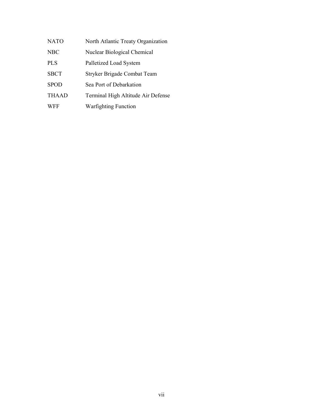| NATO        | North Atlantic Treaty Organization |
|-------------|------------------------------------|
| <b>NBC</b>  | Nuclear Biological Chemical        |
| <b>PLS</b>  | Palletized Load System             |
| <b>SBCT</b> | Stryker Brigade Combat Team        |
| <b>SPOD</b> | Sea Port of Debarkation            |
| THAAD       | Terminal High Altitude Air Defense |
| <b>WFF</b>  | <b>Warfighting Function</b>        |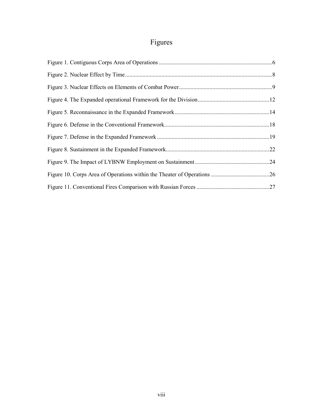# Figures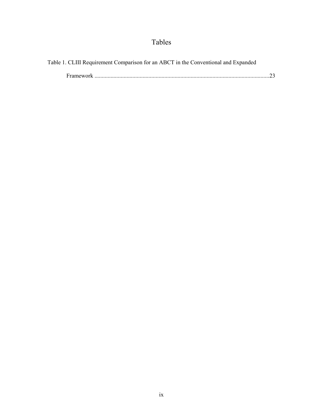# Tables

| Table 1. CLIII Requirement Comparison for an ABCT in the Conventional and Expanded |  |
|------------------------------------------------------------------------------------|--|
|                                                                                    |  |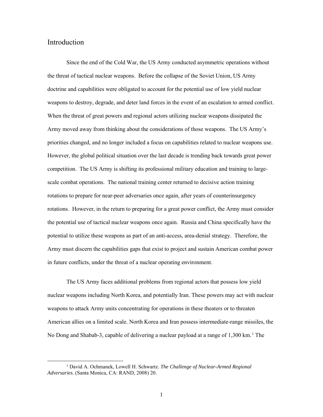# Introduction

l

Since the end of the Cold War, the US Army conducted asymmetric operations without the threat of tactical nuclear weapons. Before the collapse of the Soviet Union, US Army doctrine and capabilities were obligated to account for the potential use of low yield nuclear weapons to destroy, degrade, and deter land forces in the event of an escalation to armed conflict. When the threat of great powers and regional actors utilizing nuclear weapons dissipated the Army moved away from thinking about the considerations of those weapons. The US Army's priorities changed, and no longer included a focus on capabilities related to nuclear weapons use. However, the global political situation over the last decade is trending back towards great power competition. The US Army is shifting its professional military education and training to largescale combat operations. The national training center returned to decisive action training rotations to prepare for near-peer adversaries once again, after years of counterinsurgency rotations. However, in the return to preparing for a great power conflict, the Army must consider the potential use of tactical nuclear weapons once again. Russia and China specifically have the potential to utilize these weapons as part of an anti-access, area-denial strategy. Therefore, the Army must discern the capabilities gaps that exist to project and sustain American combat power in future conflicts, under the threat of a nuclear operating environment.

The US Army faces additional problems from regional actors that possess low yield nuclear weapons including North Korea, and potentially Iran. These powers may act with nuclear weapons to attack Army units concentrating for operations in these theaters or to threaten American allies on a limited scale. North Korea and Iran possess intermediate-range missiles, the No Dong and Shabab-3, capable of delivering a nuclear payload at a range of 1,300 km.<sup>1</sup> The

<sup>1</sup> David A. Ochmanek, Lowell H. Schwartz. *The Challenge of Nuclear-Armed Regional Adversaries.* (Santa Monica, CA: RAND, 2008) 20.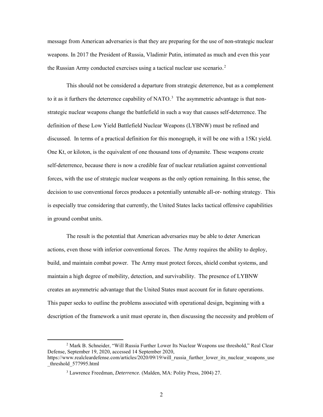message from American adversaries is that they are preparing for the use of non-strategic nuclear weapons. In 2017 the President of Russia, Vladimir Putin, intimated as much and even this year the Russian Army conducted exercises using a tactical nuclear use scenario.<sup>2</sup>

This should not be considered a departure from strategic deterrence, but as a complement to it as it furthers the deterrence capability of NATO.<sup>3</sup> The asymmetric advantage is that nonstrategic nuclear weapons change the battlefield in such a way that causes self-deterrence. The definition of these Low Yield Battlefield Nuclear Weapons (LYBNW) must be refined and discussed. In terms of a practical definition for this monograph, it will be one with a 15Kt yield. One Kt, or kiloton, is the equivalent of one thousand tons of dynamite. These weapons create self-deterrence, because there is now a credible fear of nuclear retaliation against conventional forces, with the use of strategic nuclear weapons as the only option remaining. In this sense, the decision to use conventional forces produces a potentially untenable all-or- nothing strategy. This is especially true considering that currently, the United States lacks tactical offensive capabilities in ground combat units.

The result is the potential that American adversaries may be able to deter American actions, even those with inferior conventional forces. The Army requires the ability to deploy, build, and maintain combat power. The Army must protect forces, shield combat systems, and maintain a high degree of mobility, detection, and survivability. The presence of LYBNW creates an asymmetric advantage that the United States must account for in future operations. This paper seeks to outline the problems associated with operational design, beginning with a description of the framework a unit must operate in, then discussing the necessity and problem of

 $\overline{\phantom{a}}$ 

<sup>2</sup> Mark B. Schneider, "Will Russia Further Lower Its Nuclear Weapons use threshold," Real Clear Defense, September 19, 2020, accessed 14 September 2020,

https://www.realcleardefense.com/articles/2020/09/19/will\_russia\_further\_lower\_its\_nuclear\_weapons\_use \_threshold\_577995.html

<sup>3</sup> Lawrence Freedman, *Deterrence.* (Malden, MA: Polity Press, 2004) 27.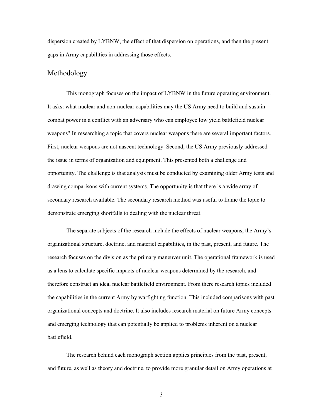dispersion created by LYBNW, the effect of that dispersion on operations, and then the present gaps in Army capabilities in addressing those effects.

# Methodology

 This monograph focuses on the impact of LYBNW in the future operating environment. It asks: what nuclear and non-nuclear capabilities may the US Army need to build and sustain combat power in a conflict with an adversary who can employee low yield battlefield nuclear weapons? In researching a topic that covers nuclear weapons there are several important factors. First, nuclear weapons are not nascent technology. Second, the US Army previously addressed the issue in terms of organization and equipment. This presented both a challenge and opportunity. The challenge is that analysis must be conducted by examining older Army tests and drawing comparisons with current systems. The opportunity is that there is a wide array of secondary research available. The secondary research method was useful to frame the topic to demonstrate emerging shortfalls to dealing with the nuclear threat.

The separate subjects of the research include the effects of nuclear weapons, the Army's organizational structure, doctrine, and materiel capabilities, in the past, present, and future. The research focuses on the division as the primary maneuver unit. The operational framework is used as a lens to calculate specific impacts of nuclear weapons determined by the research, and therefore construct an ideal nuclear battlefield environment. From there research topics included the capabilities in the current Army by warfighting function. This included comparisons with past organizational concepts and doctrine. It also includes research material on future Army concepts and emerging technology that can potentially be applied to problems inherent on a nuclear battlefield.

 The research behind each monograph section applies principles from the past, present, and future, as well as theory and doctrine, to provide more granular detail on Army operations at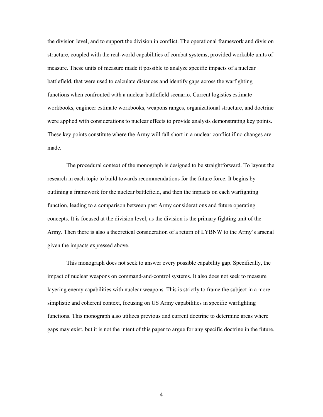the division level, and to support the division in conflict. The operational framework and division structure, coupled with the real-world capabilities of combat systems, provided workable units of measure. These units of measure made it possible to analyze specific impacts of a nuclear battlefield, that were used to calculate distances and identify gaps across the warfighting functions when confronted with a nuclear battlefield scenario. Current logistics estimate workbooks, engineer estimate workbooks, weapons ranges, organizational structure, and doctrine were applied with considerations to nuclear effects to provide analysis demonstrating key points. These key points constitute where the Army will fall short in a nuclear conflict if no changes are made.

 The procedural context of the monograph is designed to be straightforward. To layout the research in each topic to build towards recommendations for the future force. It begins by outlining a framework for the nuclear battlefield, and then the impacts on each warfighting function, leading to a comparison between past Army considerations and future operating concepts. It is focused at the division level, as the division is the primary fighting unit of the Army. Then there is also a theoretical consideration of a return of LYBNW to the Army's arsenal given the impacts expressed above.

This monograph does not seek to answer every possible capability gap. Specifically, the impact of nuclear weapons on command-and-control systems. It also does not seek to measure layering enemy capabilities with nuclear weapons. This is strictly to frame the subject in a more simplistic and coherent context, focusing on US Army capabilities in specific warfighting functions. This monograph also utilizes previous and current doctrine to determine areas where gaps may exist, but it is not the intent of this paper to argue for any specific doctrine in the future.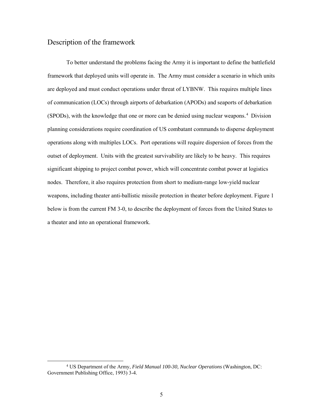# Description of the framework

l

 To better understand the problems facing the Army it is important to define the battlefield framework that deployed units will operate in. The Army must consider a scenario in which units are deployed and must conduct operations under threat of LYBNW. This requires multiple lines of communication (LOCs) through airports of debarkation (APODs) and seaports of debarkation  $(SPODs)$ , with the knowledge that one or more can be denied using nuclear weapons.<sup>4</sup> Division planning considerations require coordination of US combatant commands to disperse deployment operations along with multiples LOCs. Port operations will require dispersion of forces from the outset of deployment. Units with the greatest survivability are likely to be heavy. This requires significant shipping to project combat power, which will concentrate combat power at logistics nodes. Therefore, it also requires protection from short to medium-range low-yield nuclear weapons, including theater anti-ballistic missile protection in theater before deployment. Figure 1 below is from the current FM 3-0, to describe the deployment of forces from the United States to a theater and into an operational framework.

<sup>4</sup> US Department of the Army, *Field Manual 100-30, Nuclear Operations* (Washington, DC: Government Publishing Office, 1993) 3-4.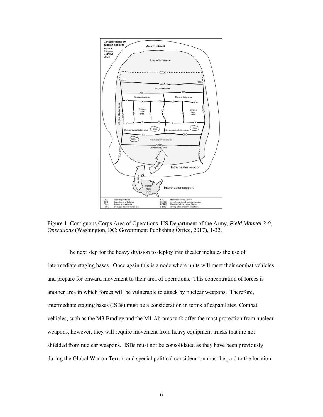

Figure 1. Contiguous Corps Area of Operations. US Department of the Army, *Field Manual 3-0, Operations* (Washington, DC: Government Publishing Office, 2017), 1-32.

The next step for the heavy division to deploy into theater includes the use of intermediate staging bases. Once again this is a node where units will meet their combat vehicles and prepare for onward movement to their area of operations. This concentration of forces is another area in which forces will be vulnerable to attack by nuclear weapons. Therefore, intermediate staging bases (ISBs) must be a consideration in terms of capabilities. Combat vehicles, such as the M3 Bradley and the M1 Abrams tank offer the most protection from nuclear weapons, however, they will require movement from heavy equipment trucks that are not shielded from nuclear weapons. ISBs must not be consolidated as they have been previously during the Global War on Terror, and special political consideration must be paid to the location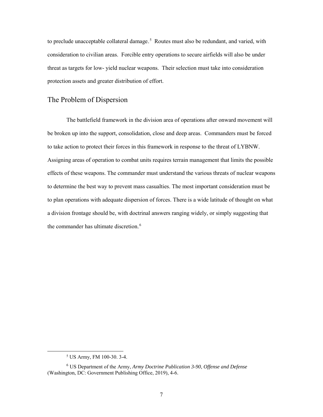to preclude unacceptable collateral damage.<sup>5</sup> Routes must also be redundant, and varied, with consideration to civilian areas. Forcible entry operations to secure airfields will also be under threat as targets for low- yield nuclear weapons. Their selection must take into consideration protection assets and greater distribution of effort.

# The Problem of Dispersion

The battlefield framework in the division area of operations after onward movement will be broken up into the support, consolidation, close and deep areas. Commanders must be forced to take action to protect their forces in this framework in response to the threat of LYBNW. Assigning areas of operation to combat units requires terrain management that limits the possible effects of these weapons. The commander must understand the various threats of nuclear weapons to determine the best way to prevent mass casualties. The most important consideration must be to plan operations with adequate dispersion of forces. There is a wide latitude of thought on what a division frontage should be, with doctrinal answers ranging widely, or simply suggesting that the commander has ultimate discretion.<sup>6</sup>

 $\overline{a}$ 

<sup>5</sup> US Army, FM 100-30. 3-4.

<sup>6</sup> US Department of the Army, *Army Doctrine Publication 3-90*, *Offense and Defense* (Washington, DC: Government Publishing Office, 2019), 4-6.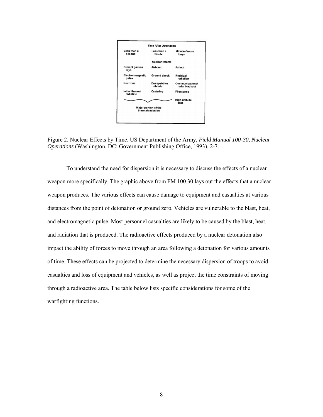

Figure 2. Nuclear Effects by Time. US Department of the Army, *Field Manual 100-30*, *Nuclear Operations* (Washington, DC: Government Publishing Office, 1993), 2-7.

To understand the need for dispersion it is necessary to discuss the effects of a nuclear weapon more specifically. The graphic above from FM 100.30 lays out the effects that a nuclear weapon produces. The various effects can cause damage to equipment and casualties at various distances from the point of detonation or ground zero. Vehicles are vulnerable to the blast, heat, and electromagnetic pulse. Most personnel casualties are likely to be caused by the blast, heat, and radiation that is produced. The radioactive effects produced by a nuclear detonation also impact the ability of forces to move through an area following a detonation for various amounts of time. These effects can be projected to determine the necessary dispersion of troops to avoid casualties and loss of equipment and vehicles, as well as project the time constraints of moving through a radioactive area. The table below lists specific considerations for some of the warfighting functions.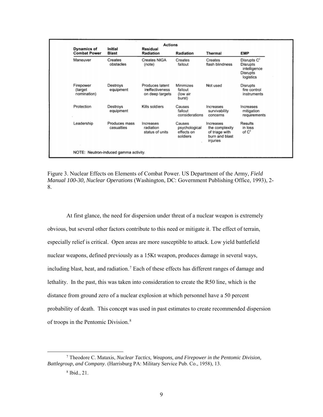| <b>Initial</b><br><b>Blast</b><br>Creates | Residual<br><b>Radiation</b>                          | <b>Radiation</b>                                  | Thermal                                                                     | <b>EMP</b>                                                                                 |
|-------------------------------------------|-------------------------------------------------------|---------------------------------------------------|-----------------------------------------------------------------------------|--------------------------------------------------------------------------------------------|
|                                           |                                                       |                                                   |                                                                             |                                                                                            |
| obstacles                                 | <b>Creates NIGA</b><br>(note)                         | Creates<br>fallout                                | Creates<br>flash blindness                                                  | Disrupts C <sup>2</sup><br><b>Disrupts</b><br>intelligence<br><b>Disrupts</b><br>logistics |
| Destroys<br>equipment                     | Produces latent<br>ineffectiveness<br>on deep targets | Minimizes<br>fallout<br>(low air<br>burst)        | Not used                                                                    | <b>Disrupts</b><br>fire control<br>instruments                                             |
| Destroys<br>equipment                     | Kills soldiers                                        | Causes<br>fallout<br>considerations               | Increases<br>survivability<br>concerns                                      | Increases<br>mitigation<br>requirements                                                    |
| Produces mass<br>casualties               | Increases<br>radiation<br>status of units             | Causes<br>psychological<br>effects on<br>soldiers | Increases<br>the complexity<br>of triage with<br>burn and blast<br>injuries | <b>Results</b><br>in loss<br>of C <sup>2</sup>                                             |
|                                           |                                                       |                                                   |                                                                             |                                                                                            |

Figure 3. Nuclear Effects on Elements of Combat Power. US Department of the Army, *Field Manual 100-30, Nuclear Operations* (Washington, DC: Government Publishing Office, 1993), 2- 8.

At first glance, the need for dispersion under threat of a nuclear weapon is extremely obvious, but several other factors contribute to this need or mitigate it. The effect of terrain, especially relief is critical. Open areas are more susceptible to attack. Low yield battlefield nuclear weapons, defined previously as a 15Kt weapon, produces damage in several ways, including blast, heat, and radiation.<sup>7</sup> Each of these effects has different ranges of damage and lethality. In the past, this was taken into consideration to create the R50 line, which is the distance from ground zero of a nuclear explosion at which personnel have a 50 percent probability of death. This concept was used in past estimates to create recommended dispersion of troops in the Pentomic Division.<sup>8</sup>

<sup>7</sup> Theodore C. Mataxis, *Nuclear Tactics, Weapons, and Firepower in the Pentomic Division, Battlegroup, and Company*. (Harrisburg PA: Military Service Pub. Co., 1958), 13.

<sup>8</sup> Ibid., 21.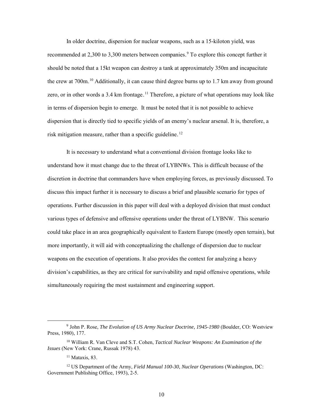In older doctrine, dispersion for nuclear weapons, such as a 15-kiloton yield, was recommended at 2,300 to 3,300 meters between companies.<sup>9</sup> To explore this concept further it should be noted that a 15kt weapon can destroy a tank at approximately 350m and incapacitate the crew at  $700$ m.<sup>10</sup> Additionally, it can cause third degree burns up to 1.7 km away from ground zero, or in other words a 3.4 km frontage.<sup>11</sup> Therefore, a picture of what operations may look like in terms of dispersion begin to emerge. It must be noted that it is not possible to achieve dispersion that is directly tied to specific yields of an enemy's nuclear arsenal. It is, therefore, a risk mitigation measure, rather than a specific guideline.<sup>12</sup>

It is necessary to understand what a conventional division frontage looks like to understand how it must change due to the threat of LYBNWs. This is difficult because of the discretion in doctrine that commanders have when employing forces, as previously discussed. To discuss this impact further it is necessary to discuss a brief and plausible scenario for types of operations. Further discussion in this paper will deal with a deployed division that must conduct various types of defensive and offensive operations under the threat of LYBNW. This scenario could take place in an area geographically equivalent to Eastern Europe (mostly open terrain), but more importantly, it will aid with conceptualizing the challenge of dispersion due to nuclear weapons on the execution of operations. It also provides the context for analyzing a heavy division's capabilities, as they are critical for survivability and rapid offensive operations, while simultaneously requiring the most sustainment and engineering support.

<sup>9</sup> John P. Rose, *The Evolution of US Army Nuclear Doctrine, 1945-1980* (Boulder, CO: Westview Press, 1980), 177.

<sup>10</sup> William R. Van Cleve and S.T. Cohen, *Tactical Nuclear Weapons: An Examination of the Issues* (New York: Crane, Russak 1978) 43.

 $11$  Mataxis, 83.

<sup>12</sup> US Department of the Army, *Field Manual 100-30, Nuclear Operations* (Washington, DC: Government Publishing Office, 1993), 2-5.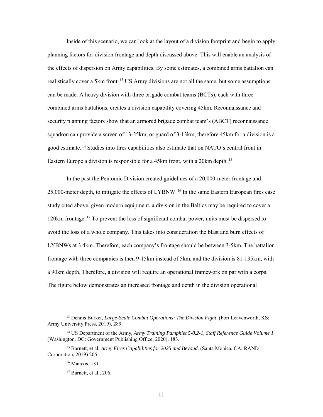Inside of this scenario, we can look at the layout of a division footprint and begin to apply planning factors for division frontage and depth discussed above. This will enable an analysis of the effects of dispersion on Army capabilities. By some estimates, a combined arms battalion can realistically cover a 5km front.<sup>13</sup> US Army divisions are not all the same, but some assumptions can be made. A heavy division with three brigade combat teams (BCTs), each with three combined arms battalions, creates a division capability covering 45km. Reconnaissance and security planning factors show that an armored brigade combat team's (ABCT) reconnaissance squadron can provide a screen of 13-25km, or guard of 3-13km, therefore 45km for a division is a good estimate.<sup>14</sup> Studies into fires capabilities also estimate that on NATO's central front in Eastern Europe a division is responsible for a 45km front, with a 20km depth.<sup>15</sup>

In the past the Pentomic Division created guidelines of a 20,000-meter frontage and 25,000-meter depth, to mitigate the effects of LYBNW.<sup>16</sup> In the same Eastern European fires case study cited above, given modern equipment, a division in the Baltics may be required to cover a 120km frontage.<sup>17</sup> To prevent the loss of significant combat power, units must be dispersed to avoid the loss of a whole company. This takes into consideration the blast and burn effects of LYBNWs at 3.4km. Therefore, each company's frontage should be between 3-5km. The battalion frontage with three companies is then 9-15km instead of 5km, and the division is 81-135km, with a 90km depth. Therefore, a division will require an operational framework on par with a corps. The figure below demonstrates an increased frontage and depth in the division operational

<sup>13</sup> Dennis Burket, *Large-Scale Combat Operations: The Division Fight*. (Fort Leavenworth, KS: Army University Press, 2019), 289.

<sup>14</sup> US Department of the Army*, Army Training Pamphlet 5-0.2-1, Staff Reference Guide Volume 1*  (Washington, DC: Government Publishing Office, 2020), 183.

<sup>15</sup> Barnett, et al, *Army Fires Capabilities for 2025 and Beyond*. (Santa Monica, CA: RAND Corporation, 2019) 205.

<sup>16</sup> Mataxis, 131.

 $17$  Barnett, et al., 206.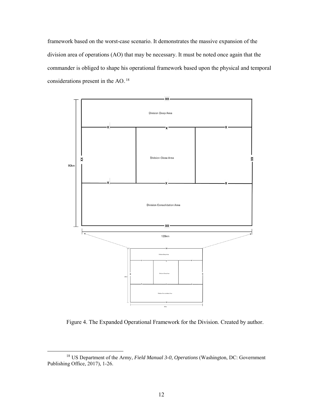framework based on the worst-case scenario. It demonstrates the massive expansion of the division area of operations (AO) that may be necessary. It must be noted once again that the commander is obliged to shape his operational framework based upon the physical and temporal considerations present in the  $AO.^{18}$ 



Figure 4. The Expanded Operational Framework for the Division. Created by author.

 $\overline{a}$ 

<sup>18</sup> US Department of the Army, *Field Manual 3-0, Operations* (Washington, DC: Government Publishing Office, 2017), 1-26.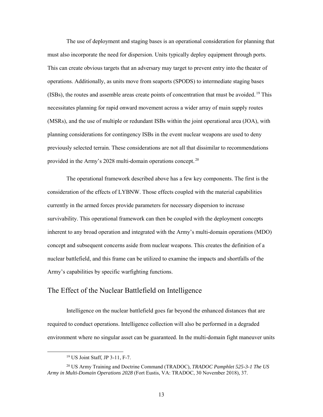The use of deployment and staging bases is an operational consideration for planning that must also incorporate the need for dispersion. Units typically deploy equipment through ports. This can create obvious targets that an adversary may target to prevent entry into the theater of operations. Additionally, as units move from seaports (SPODS) to intermediate staging bases (ISBs), the routes and assemble areas create points of concentration that must be avoided.<sup>19</sup> This necessitates planning for rapid onward movement across a wider array of main supply routes (MSRs), and the use of multiple or redundant ISBs within the joint operational area (JOA), with planning considerations for contingency ISBs in the event nuclear weapons are used to deny previously selected terrain. These considerations are not all that dissimilar to recommendations provided in the Army's 2028 multi-domain operations concept.<sup>20</sup>

The operational framework described above has a few key components. The first is the consideration of the effects of LYBNW. Those effects coupled with the material capabilities currently in the armed forces provide parameters for necessary dispersion to increase survivability. This operational framework can then be coupled with the deployment concepts inherent to any broad operation and integrated with the Army's multi-domain operations (MDO) concept and subsequent concerns aside from nuclear weapons. This creates the definition of a nuclear battlefield, and this frame can be utilized to examine the impacts and shortfalls of the Army's capabilities by specific warfighting functions.

#### The Effect of the Nuclear Battlefield on Intelligence

Intelligence on the nuclear battlefield goes far beyond the enhanced distances that are required to conduct operations. Intelligence collection will also be performed in a degraded environment where no singular asset can be guaranteed. In the multi-domain fight maneuver units

<sup>19</sup> US Joint Staff, JP 3-11, F-7.

<sup>20</sup> US Army Training and Doctrine Command (TRADOC), *TRADOC Pamphlet 525-3-1 The US Army in Multi-Domain Operations 2028* (Fort Eustis, VA: TRADOC, 30 November 2018), 37.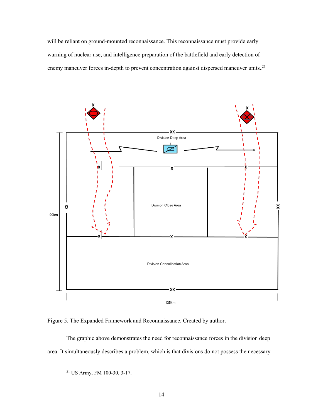will be reliant on ground-mounted reconnaissance. This reconnaissance must provide early warning of nuclear use, and intelligence preparation of the battlefield and early detection of enemy maneuver forces in-depth to prevent concentration against dispersed maneuver units.<sup>21</sup>



Figure 5. The Expanded Framework and Reconnaissance. Created by author.

The graphic above demonstrates the need for reconnaissance forces in the division deep area. It simultaneously describes a problem, which is that divisions do not possess the necessary

<sup>21</sup> US Army, FM 100-30, 3-17.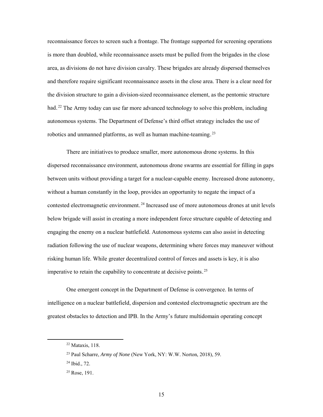reconnaissance forces to screen such a frontage. The frontage supported for screening operations is more than doubled, while reconnaissance assets must be pulled from the brigades in the close area, as divisions do not have division cavalry. These brigades are already dispersed themselves and therefore require significant reconnaissance assets in the close area. There is a clear need for the division structure to gain a division-sized reconnaissance element, as the pentomic structure had.<sup>22</sup> The Army today can use far more advanced technology to solve this problem, including autonomous systems. The Department of Defense's third offset strategy includes the use of robotics and unmanned platforms, as well as human machine-teaming.<sup>23</sup>

 There are initiatives to produce smaller, more autonomous drone systems. In this dispersed reconnaissance environment, autonomous drone swarms are essential for filling in gaps between units without providing a target for a nuclear-capable enemy. Increased drone autonomy, without a human constantly in the loop, provides an opportunity to negate the impact of a contested electromagnetic environment.<sup>24</sup> Increased use of more autonomous drones at unit levels below brigade will assist in creating a more independent force structure capable of detecting and engaging the enemy on a nuclear battlefield. Autonomous systems can also assist in detecting radiation following the use of nuclear weapons, determining where forces may maneuver without risking human life. While greater decentralized control of forces and assets is key, it is also imperative to retain the capability to concentrate at decisive points.<sup>25</sup>

One emergent concept in the Department of Defense is convergence. In terms of intelligence on a nuclear battlefield, dispersion and contested electromagnetic spectrum are the greatest obstacles to detection and IPB. In the Army's future multidomain operating concept

<sup>22</sup> Mataxis, 118.

<sup>23</sup> Paul Scharre, *Army of None* (New York, NY: W.W. Norton, 2018), 59.

<sup>24</sup> Ibid., 72.

 $25$  Rose, 191.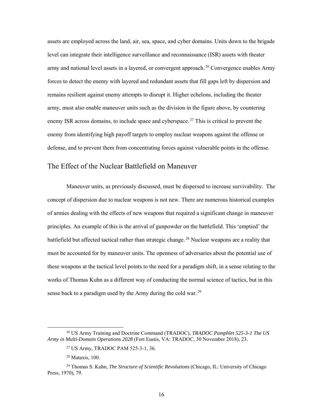assets are employed across the land, air, sea, space, and cyber domains. Units down to the brigade level can integrate their intelligence surveillance and reconnaissance (ISR) assets with theater army and national level assets in a layered, or convergent approach.<sup>26</sup> Convergence enables Army forces to detect the enemy with layered and redundant assets that fill gaps left by dispersion and remains resilient against enemy attempts to disrupt it. Higher echelons, including the theater army, must also enable maneuver units such as the division in the figure above, by countering enemy ISR across domains, to include space and cyberspace.<sup>27</sup> This is critical to prevent the enemy from identifying high payoff targets to employ nuclear weapons against the offense or defense, and to prevent them from concentrating forces against vulnerable points in the offense.

### The Effect of the Nuclear Battlefield on Maneuver

Maneuver units, as previously discussed, must be dispersed to increase survivability. The concept of dispersion due to nuclear weapons is not new. There are numerous historical examples of armies dealing with the effects of new weapons that required a significant change in maneuver principles. An example of this is the arrival of gunpowder on the battlefield. This 'emptied' the battlefield but affected tactical rather than strategic change.<sup>28</sup> Nuclear weapons are a reality that must be accounted for by maneuver units. The openness of adversaries about the potential use of these weapons at the tactical level points to the need for a paradigm shift, in a sense relating to the works of Thomas Kuhn as a different way of conducting the normal science of tactics, but in this sense back to a paradigm used by the Army during the cold war.<sup>29</sup>

 $\overline{a}$ 

<sup>26</sup> US Army Training and Doctrine Command (TRADOC), *TRADOC Pamphlet 525-3-1 The US Army in Multi-Domain Operations 2028* (Fort Eustis, VA: TRADOC, 30 November 2018), 23.

<sup>27</sup> US Army, TRADOC PAM 525-3-1, 36.

<sup>28</sup> Mataxis, 100.

<sup>29</sup> Thomas S. Kuhn, *The Structure of Scientific Revolutions* (Chicago, IL: University of Chicago Press, 1970), 79.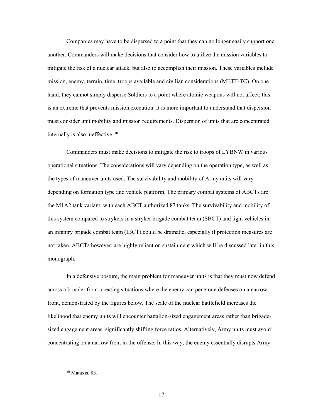Companies may have to be dispersed to a point that they can no longer easily support one another. Commanders will make decisions that consider how to utilize the mission variables to mitigate the risk of a nuclear attack, but also to accomplish their mission. These variables include mission, enemy, terrain, time, troops available and civilian considerations (METT-TC). On one hand, they cannot simply disperse Soldiers to a point where atomic weapons will not affect; this is an extreme that prevents mission execution. It is more important to understand that dispersion must consider unit mobility and mission requirements. Dispersion of units that are concentrated internally is also ineffective.<sup>30</sup>

Commanders must make decisions to mitigate the risk to troops of LYBNW in various operational situations. The considerations will vary depending on the operation type, as well as the types of maneuver units used. The survivability and mobility of Army units will vary depending on formation type and vehicle platform. The primary combat systems of ABCTs are the M1A2 tank variant, with each ABCT authorized 87 tanks. The survivability and mobility of this system compared to strykers in a stryker brigade combat team (SBCT) and light vehicles in an infantry brigade combat team (IBCT) could be dramatic, especially if protection measures are not taken. ABCTs however, are highly reliant on sustainment which will be discussed later in this monograph.

In a defensive posture, the main problem for maneuver units is that they must now defend across a broader front, creating situations where the enemy can penetrate defenses on a narrow front, demonstrated by the figures below. The scale of the nuclear battlefield increases the likelihood that enemy units will encounter battalion-sized engagement areas rather than brigadesized engagement areas, significantly shifting force ratios. Alternatively, Army units must avoid concentrating on a narrow front in the offense. In this way, the enemy essentially disrupts Army

<sup>30</sup> Mataxis, 83.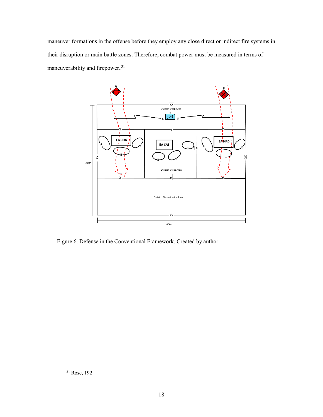maneuver formations in the offense before they employ any close direct or indirect fire systems in their disruption or main battle zones. Therefore, combat power must be measured in terms of maneuverability and firepower.<sup>31</sup>



Figure 6. Defense in the Conventional Framework. Created by author.

<sup>31</sup> Rose, 192.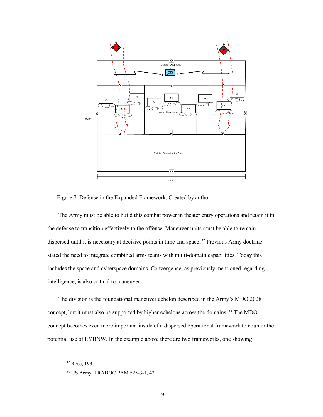

Figure 7. Defense in the Expanded Framework. Created by author.

The Army must be able to build this combat power in theater entry operations and retain it in the defense to transition effectively to the offense. Maneuver units must be able to remain dispersed until it is necessary at decisive points in time and space.<sup>32</sup> Previous Army doctrine stated the need to integrate combined arms teams with multi-domain capabilities. Today this includes the space and cyberspace domains. Convergence, as previously mentioned regarding intelligence, is also critical to maneuver.

The division is the foundational maneuver echelon described in the Army's MDO 2028 concept, but it must also be supported by higher echelons across the domains.<sup>33</sup> The MDO concept becomes even more important inside of a dispersed operational framework to counter the potential use of LYBNW. In the example above there are two frameworks, one showing

<sup>32</sup> Rose, 193.

<sup>33</sup> US Army, TRADOC PAM 525-3-1, 42.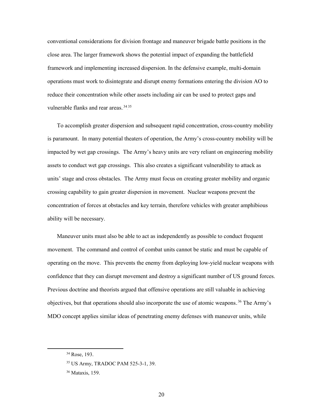conventional considerations for division frontage and maneuver brigade battle positions in the close area. The larger framework shows the potential impact of expanding the battlefield framework and implementing increased dispersion. In the defensive example, multi-domain operations must work to disintegrate and disrupt enemy formations entering the division AO to reduce their concentration while other assets including air can be used to protect gaps and vulnerable flanks and rear areas.<sup>34</sup><sup>35</sup>

To accomplish greater dispersion and subsequent rapid concentration, cross-country mobility is paramount. In many potential theaters of operation, the Army's cross-country mobility will be impacted by wet gap crossings. The Army's heavy units are very reliant on engineering mobility assets to conduct wet gap crossings. This also creates a significant vulnerability to attack as units' stage and cross obstacles. The Army must focus on creating greater mobility and organic crossing capability to gain greater dispersion in movement. Nuclear weapons prevent the concentration of forces at obstacles and key terrain, therefore vehicles with greater amphibious ability will be necessary.

Maneuver units must also be able to act as independently as possible to conduct frequent movement. The command and control of combat units cannot be static and must be capable of operating on the move. This prevents the enemy from deploying low-yield nuclear weapons with confidence that they can disrupt movement and destroy a significant number of US ground forces. Previous doctrine and theorists argued that offensive operations are still valuable in achieving objectives, but that operations should also incorporate the use of atomic weapons.<sup>36</sup> The Army's MDO concept applies similar ideas of penetrating enemy defenses with maneuver units, while

<sup>34</sup> Rose, 193.

<sup>35</sup> US Army, TRADOC PAM 525-3-1, 39.

<sup>36</sup> Mataxis, 159.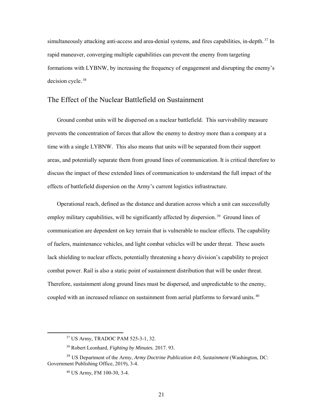simultaneously attacking anti-access and area-denial systems, and fires capabilities, in-depth.<sup>37</sup> In rapid maneuver, converging multiple capabilities can prevent the enemy from targeting formations with LYBNW, by increasing the frequency of engagement and disrupting the enemy's decision cycle.<sup>38</sup>

### The Effect of the Nuclear Battlefield on Sustainment

Ground combat units will be dispersed on a nuclear battlefield. This survivability measure prevents the concentration of forces that allow the enemy to destroy more than a company at a time with a single LYBNW. This also means that units will be separated from their support areas, and potentially separate them from ground lines of communication. It is critical therefore to discuss the impact of these extended lines of communication to understand the full impact of the effects of battlefield dispersion on the Army's current logistics infrastructure.

Operational reach, defined as the distance and duration across which a unit can successfully employ military capabilities, will be significantly affected by dispersion.<sup>39</sup> Ground lines of communication are dependent on key terrain that is vulnerable to nuclear effects. The capability of fuelers, maintenance vehicles, and light combat vehicles will be under threat. These assets lack shielding to nuclear effects, potentially threatening a heavy division's capability to project combat power. Rail is also a static point of sustainment distribution that will be under threat. Therefore, sustainment along ground lines must be dispersed, and unpredictable to the enemy, coupled with an increased reliance on sustainment from aerial platforms to forward units.<sup>40</sup>

<sup>37</sup> US Army, TRADOC PAM 525-3-1, 32.

<sup>38</sup> Robert Leonhard, *Fighting by Minutes.* 2017. 93.

<sup>39</sup> US Department of the Army, *Army Doctrine Publication 4-0, Sustainment* (Washington, DC: Government Publishing Office, 2019), 3-4.

<sup>40</sup> US Army, FM 100-30, 3-4.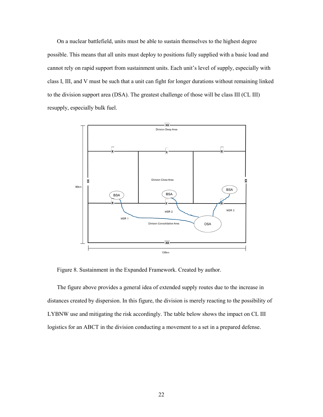On a nuclear battlefield, units must be able to sustain themselves to the highest degree possible. This means that all units must deploy to positions fully supplied with a basic load and cannot rely on rapid support from sustainment units. Each unit's level of supply, especially with class I, III, and V must be such that a unit can fight for longer durations without remaining linked to the division support area (DSA). The greatest challenge of those will be class III (CL III) resupply, especially bulk fuel.



Figure 8. Sustainment in the Expanded Framework. Created by author.

The figure above provides a general idea of extended supply routes due to the increase in distances created by dispersion. In this figure, the division is merely reacting to the possibility of LYBNW use and mitigating the risk accordingly. The table below shows the impact on CL III logistics for an ABCT in the division conducting a movement to a set in a prepared defense.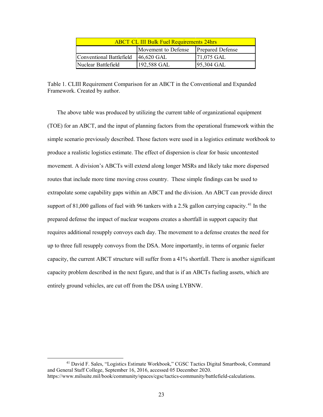| <b>ABCT CL III Bulk Fuel Requirements 24hrs</b> |                       |                         |  |
|-------------------------------------------------|-----------------------|-------------------------|--|
|                                                 | Movement to Defense   | <b>Prepared Defense</b> |  |
| Conventional Battlefield                        | $ 46,620 \text{ GAL}$ | $ 71,075 \text{ GAL}$   |  |
| Nuclear Battlefield                             | 192,588 GAL           | [95,304 GAL]            |  |

Table 1. CLIII Requirement Comparison for an ABCT in the Conventional and Expanded Framework. Created by author.

The above table was produced by utilizing the current table of organizational equipment (TOE) for an ABCT, and the input of planning factors from the operational framework within the simple scenario previously described. Those factors were used in a logistics estimate workbook to produce a realistic logistics estimate. The effect of dispersion is clear for basic uncontested movement. A division's ABCTs will extend along longer MSRs and likely take more dispersed routes that include more time moving cross country. These simple findings can be used to extrapolate some capability gaps within an ABCT and the division. An ABCT can provide direct support of 81,000 gallons of fuel with 96 tankers with a 2.5k gallon carrying capacity.<sup>41</sup> In the prepared defense the impact of nuclear weapons creates a shortfall in support capacity that requires additional resupply convoys each day. The movement to a defense creates the need for up to three full resupply convoys from the DSA. More importantly, in terms of organic fueler capacity, the current ABCT structure will suffer from a 41% shortfall. There is another significant capacity problem described in the next figure, and that is if an ABCTs fueling assets, which are entirely ground vehicles, are cut off from the DSA using LYBNW.

<sup>41</sup> David F. Sales, "Logistics Estimate Workbook," CGSC Tactics Digital Smartbook, Command and General Staff College, September 16, 2016, accessed 05 December 2020. https://www.milsuite.mil/book/community/spaces/cgsc/tactics-community/battlefield-calculations.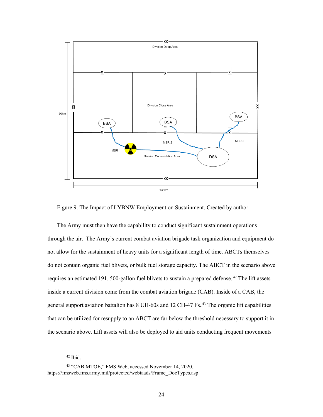

Figure 9. The Impact of LYBNW Employment on Sustainment. Created by author.

The Army must then have the capability to conduct significant sustainment operations through the air. The Army's current combat aviation brigade task organization and equipment do not allow for the sustainment of heavy units for a significant length of time. ABCTs themselves do not contain organic fuel blivets, or bulk fuel storage capacity. The ABCT in the scenario above requires an estimated 191, 500-gallon fuel blivets to sustain a prepared defense.<sup>42</sup> The lift assets inside a current division come from the combat aviation brigade (CAB). Inside of a CAB, the general support aviation battalion has 8 UH-60s and 12 CH-47 Fs.<sup>43</sup> The organic lift capabilities that can be utilized for resupply to an ABCT are far below the threshold necessary to support it in the scenario above. Lift assets will also be deployed to aid units conducting frequent movements

 $42$  Ibid.

<sup>43</sup> "CAB MTOE," FMS Web, accessed November 14, 2020, https://fmsweb.fms.army.mil/protected/webtaads/Frame\_DocTypes.asp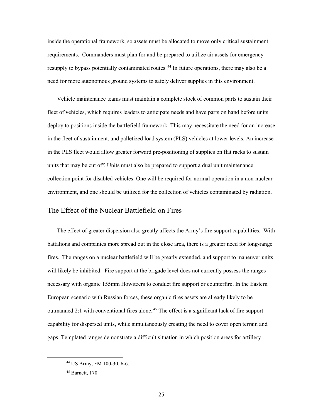inside the operational framework, so assets must be allocated to move only critical sustainment requirements. Commanders must plan for and be prepared to utilize air assets for emergency resupply to bypass potentially contaminated routes.<sup>44</sup> In future operations, there may also be a need for more autonomous ground systems to safely deliver supplies in this environment.

Vehicle maintenance teams must maintain a complete stock of common parts to sustain their fleet of vehicles, which requires leaders to anticipate needs and have parts on hand before units deploy to positions inside the battlefield framework. This may necessitate the need for an increase in the fleet of sustainment, and palletized load system (PLS) vehicles at lower levels. An increase in the PLS fleet would allow greater forward pre-positioning of supplies on flat racks to sustain units that may be cut off. Units must also be prepared to support a dual unit maintenance collection point for disabled vehicles. One will be required for normal operation in a non-nuclear environment, and one should be utilized for the collection of vehicles contaminated by radiation.

#### The Effect of the Nuclear Battlefield on Fires

The effect of greater dispersion also greatly affects the Army's fire support capabilities. With battalions and companies more spread out in the close area, there is a greater need for long-range fires. The ranges on a nuclear battlefield will be greatly extended, and support to maneuver units will likely be inhibited. Fire support at the brigade level does not currently possess the ranges necessary with organic 155mm Howitzers to conduct fire support or counterfire. In the Eastern European scenario with Russian forces, these organic fires assets are already likely to be outmanned 2:1 with conventional fires alone.<sup>45</sup> The effect is a significant lack of fire support capability for dispersed units, while simultaneously creating the need to cover open terrain and gaps. Templated ranges demonstrate a difficult situation in which position areas for artillery

<sup>44</sup> US Army, FM 100-30, 6-6.

<sup>45</sup> Barnett, 170.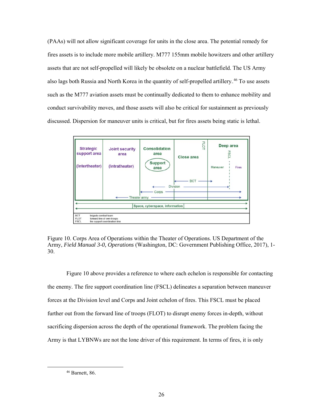(PAAs) will not allow significant coverage for units in the close area. The potential remedy for fires assets is to include more mobile artillery. M777 155mm mobile howitzers and other artillery assets that are not self-propelled will likely be obsolete on a nuclear battlefield. The US Army also lags both Russia and North Korea in the quantity of self-propelled artillery.<sup>46</sup> To use assets such as the M777 aviation assets must be continually dedicated to them to enhance mobility and conduct survivability moves, and those assets will also be critical for sustainment as previously discussed. Dispersion for maneuver units is critical, but for fires assets being static is lethal.



Figure 10. Corps Area of Operations within the Theater of Operations. US Department of the Army, *Field Manual 3-0, Operations* (Washington, DC: Government Publishing Office, 2017), 1- 30.

 Figure 10 above provides a reference to where each echelon is responsible for contacting the enemy. The fire support coordination line (FSCL) delineates a separation between maneuver forces at the Division level and Corps and Joint echelon of fires. This FSCL must be placed further out from the forward line of troops (FLOT) to disrupt enemy forces in-depth, without sacrificing dispersion across the depth of the operational framework. The problem facing the Army is that LYBNWs are not the lone driver of this requirement. In terms of fires, it is only

<sup>46</sup> Barnett, 86.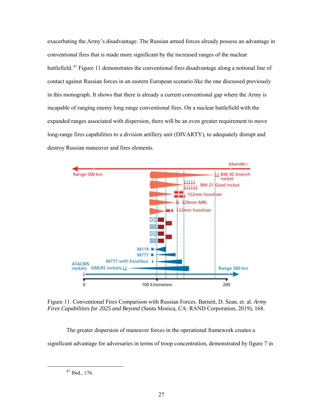exacerbating the Army's disadvantage. The Russian armed forces already possess an advantage in conventional fires that is made more significant by the increased ranges of the nuclear battlefield.<sup>47</sup> Figure 11 demonstrates the conventional fires disadvantage along a notional line of contact against Russian forces in an eastern European scenario like the one discussed previously in this monograph. It shows that there is already a current conventional gap where the Army is incapable of ranging enemy long range conventional fires. On a nuclear battlefield with the expanded ranges associated with dispersion, there will be an even greater requirement to move long-range fires capabilities to a division artillery unit (DIVARTY), to adequately disrupt and destroy Russian maneuver and fires elements.



Figure 11. Conventional Fires Comparison with Russian Forces. Barnett, D. Sean, et. al. *Army Fires Capabilities for 2025 and Beyond* (Santa Monica, CA: RAND Corporation, 2019), 168.

The greater dispersion of maneuver forces in the operational framework creates a significant advantage for adversaries in terms of troop concentration, demonstrated by figure 7 in

<sup>47</sup> Ibid., 176.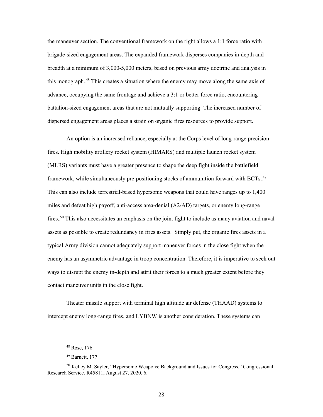the maneuver section. The conventional framework on the right allows a 1:1 force ratio with brigade-sized engagement areas. The expanded framework disperses companies in-depth and breadth at a minimum of 3,000-5,000 meters, based on previous army doctrine and analysis in this monograph.<sup>48</sup> This creates a situation where the enemy may move along the same axis of advance, occupying the same frontage and achieve a 3:1 or better force ratio, encountering battalion-sized engagement areas that are not mutually supporting. The increased number of dispersed engagement areas places a strain on organic fires resources to provide support.

An option is an increased reliance, especially at the Corps level of long-range precision fires. High mobility artillery rocket system (HIMARS) and multiple launch rocket system (MLRS) variants must have a greater presence to shape the deep fight inside the battlefield framework, while simultaneously pre-positioning stocks of ammunition forward with BCTs.<sup>49</sup> This can also include terrestrial-based hypersonic weapons that could have ranges up to 1,400 miles and defeat high payoff, anti-access area-denial (A2/AD) targets, or enemy long-range fires.<sup>50</sup> This also necessitates an emphasis on the joint fight to include as many aviation and naval assets as possible to create redundancy in fires assets. Simply put, the organic fires assets in a typical Army division cannot adequately support maneuver forces in the close fight when the enemy has an asymmetric advantage in troop concentration. Therefore, it is imperative to seek out ways to disrupt the enemy in-depth and attrit their forces to a much greater extent before they contact maneuver units in the close fight.

 Theater missile support with terminal high altitude air defense (THAAD) systems to intercept enemy long-range fires, and LYBNW is another consideration. These systems can

l

<sup>48</sup> Rose, 176.

<sup>49</sup> Barnett, 177.

<sup>50</sup> Kelley M. Sayler, "Hypersonic Weapons: Background and Issues for Congress." Congressional Research Service, R45811, August 27, 2020. 6.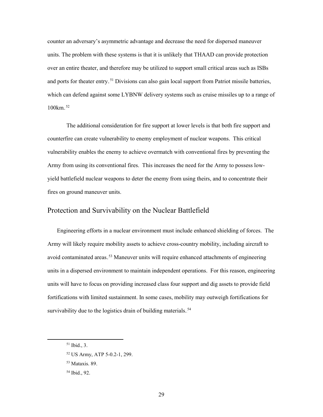counter an adversary's asymmetric advantage and decrease the need for dispersed maneuver units. The problem with these systems is that it is unlikely that THAAD can provide protection over an entire theater, and therefore may be utilized to support small critical areas such as ISBs and ports for theater entry.<sup>51</sup> Divisions can also gain local support from Patriot missile batteries, which can defend against some LYBNW delivery systems such as cruise missiles up to a range of 100km.<sup>52</sup>

The additional consideration for fire support at lower levels is that both fire support and counterfire can create vulnerability to enemy employment of nuclear weapons. This critical vulnerability enables the enemy to achieve overmatch with conventional fires by preventing the Army from using its conventional fires. This increases the need for the Army to possess lowyield battlefield nuclear weapons to deter the enemy from using theirs, and to concentrate their fires on ground maneuver units.

#### Protection and Survivability on the Nuclear Battlefield

Engineering efforts in a nuclear environment must include enhanced shielding of forces. The Army will likely require mobility assets to achieve cross-country mobility, including aircraft to avoid contaminated areas.<sup>53</sup> Maneuver units will require enhanced attachments of engineering units in a dispersed environment to maintain independent operations. For this reason, engineering units will have to focus on providing increased class four support and dig assets to provide field fortifications with limited sustainment. In some cases, mobility may outweigh fortifications for survivability due to the logistics drain of building materials.<sup>54</sup>

<sup>51</sup> Ibid., 3.

<sup>52</sup> US Army, ATP 5-0.2-1, 299.

<sup>53</sup> Mataxis. 89.

<sup>54</sup> Ibid., 92.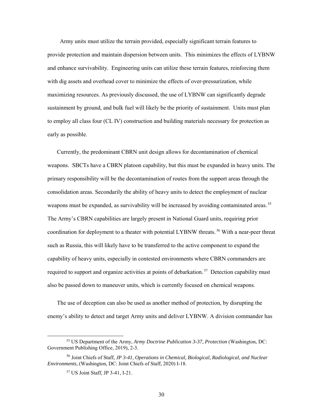Army units must utilize the terrain provided, especially significant terrain features to provide protection and maintain dispersion between units. This minimizes the effects of LYBNW and enhance survivability. Engineering units can utilize these terrain features, reinforcing them with dig assets and overhead cover to minimize the effects of over-pressurization, while maximizing resources. As previously discussed, the use of LYBNW can significantly degrade sustainment by ground, and bulk fuel will likely be the priority of sustainment. Units must plan to employ all class four (CL IV) construction and building materials necessary for protection as early as possible.

Currently, the predominant CBRN unit design allows for decontamination of chemical weapons. SBCTs have a CBRN platoon capability, but this must be expanded in heavy units. The primary responsibility will be the decontamination of routes from the support areas through the consolidation areas. Secondarily the ability of heavy units to detect the employment of nuclear weapons must be expanded, as survivability will be increased by avoiding contaminated areas.<sup>55</sup> The Army's CBRN capabilities are largely present in National Guard units, requiring prior coordination for deployment to a theater with potential LYBNW threats.<sup>56</sup> With a near-peer threat such as Russia, this will likely have to be transferred to the active component to expand the capability of heavy units, especially in contested environments where CBRN commanders are required to support and organize activities at points of debarkation.<sup>57</sup> Detection capability must also be passed down to maneuver units, which is currently focused on chemical weapons.

The use of deception can also be used as another method of protection, by disrupting the enemy's ability to detect and target Army units and deliver LYBNW. A division commander has

<sup>55</sup> US Department of the Army, *Army Doctrine Publication 3-37, Protection* (Washington, DC: Government Publishing Office, 2019), 2-3.

<sup>56</sup> Joint Chiefs of Staff, *JP 3-41*, *Operations in Chemical, Biological, Radiological, and Nuclear Environments,* (Washington, DC: Joint Chiefs of Staff, 2020) I-18.

<sup>57</sup> US Joint Staff, JP 3-41, I-21.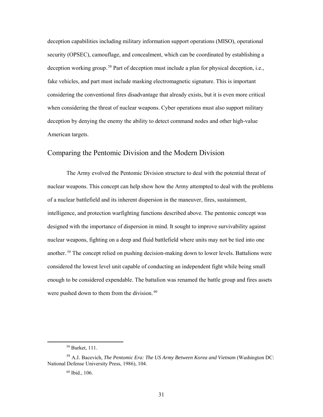deception capabilities including military information support operations (MISO), operational security (OPSEC), camouflage, and concealment, which can be coordinated by establishing a deception working group.<sup>58</sup> Part of deception must include a plan for physical deception, i.e., fake vehicles, and part must include masking electromagnetic signature. This is important considering the conventional fires disadvantage that already exists, but it is even more critical when considering the threat of nuclear weapons. Cyber operations must also support military deception by denying the enemy the ability to detect command nodes and other high-value American targets.

### Comparing the Pentomic Division and the Modern Division

 The Army evolved the Pentomic Division structure to deal with the potential threat of nuclear weapons. This concept can help show how the Army attempted to deal with the problems of a nuclear battlefield and its inherent dispersion in the maneuver, fires, sustainment, intelligence, and protection warfighting functions described above. The pentomic concept was designed with the importance of dispersion in mind. It sought to improve survivability against nuclear weapons, fighting on a deep and fluid battlefield where units may not be tied into one another.<sup>59</sup> The concept relied on pushing decision-making down to lower levels. Battalions were considered the lowest level unit capable of conducting an independent fight while being small enough to be considered expendable. The battalion was renamed the battle group and fires assets were pushed down to them from the division. $60$ 

<sup>58</sup> Burket, 111.

<sup>&</sup>lt;sup>59</sup> A.J. Bacevich, *The Pentomic Era: The US Army Between Korea and Vietnam* (Washington DC: National Defense University Press, 1986), 104.

<sup>60</sup> Ibid., 106.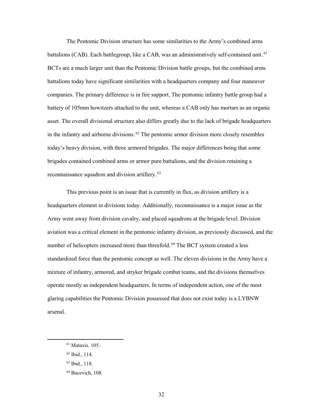The Pentomic Division structure has some similarities to the Army's combined arms battalions (CAB). Each battlegroup, like a CAB, was an administratively self-contained unit.<sup>61</sup> BCTs are a much larger unit than the Pentomic Division battle groups, but the combined arms battalions today have significant similarities with a headquarters company and four maneuver companies. The primary difference is in fire support. The pentomic infantry battle group had a battery of 105mm howitzers attached to the unit, whereas a CAB only has mortars as an organic asset. The overall divisional structure also differs greatly due to the lack of brigade headquarters in the infantry and airborne divisions.<sup>62</sup> The pentomic armor division more closely resembles today's heavy division, with three armored brigades. The major differences being that some brigades contained combined arms or armor pure battalions, and the division retaining a reconnaissance squadron and division artillery.<sup>63</sup>

 This previous point is an issue that is currently in flux, as division artillery is a headquarters element in divisions today. Additionally, reconnaissance is a major issue as the Army went away from division cavalry, and placed squadrons at the brigade level. Division aviation was a critical element in the pentomic infantry division, as previously discussed, and the number of helicopters increased more than threefold.<sup>64</sup> The BCT system created a less standardized force than the pentomic concept as well. The eleven divisions in the Army have a mixture of infantry, armored, and stryker brigade combat teams, and the divisions themselves operate mostly as independent headquarters. In terms of independent action, one of the most glaring capabilities the Pentomic Division possessed that does not exist today is a LYBNW arsenal.

 $61$  Mataxis. 105.

<sup>62</sup> Ibid., 114.

<sup>63</sup> Ibid., 118.

<sup>64</sup> Bacevich, 108.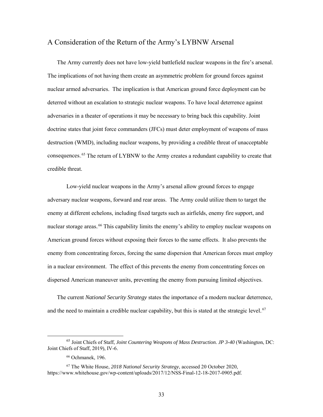#### A Consideration of the Return of the Army's LYBNW Arsenal

The Army currently does not have low-yield battlefield nuclear weapons in the fire's arsenal. The implications of not having them create an asymmetric problem for ground forces against nuclear armed adversaries. The implication is that American ground force deployment can be deterred without an escalation to strategic nuclear weapons. To have local deterrence against adversaries in a theater of operations it may be necessary to bring back this capability. Joint doctrine states that joint force commanders (JFCs) must deter employment of weapons of mass destruction (WMD), including nuclear weapons, by providing a credible threat of unacceptable consequences.<sup>65</sup> The return of LYBNW to the Army creates a redundant capability to create that credible threat.

Low-yield nuclear weapons in the Army's arsenal allow ground forces to engage adversary nuclear weapons, forward and rear areas. The Army could utilize them to target the enemy at different echelons, including fixed targets such as airfields, enemy fire support, and nuclear storage areas.<sup>66</sup> This capability limits the enemy's ability to employ nuclear weapons on American ground forces without exposing their forces to the same effects. It also prevents the enemy from concentrating forces, forcing the same dispersion that American forces must employ in a nuclear environment. The effect of this prevents the enemy from concentrating forces on dispersed American maneuver units, preventing the enemy from pursuing limited objectives.

The current *National Security Strategy* states the importance of a modern nuclear deterrence, and the need to maintain a credible nuclear capability, but this is stated at the strategic level.<sup>67</sup>

<sup>65</sup> Joint Chiefs of Staff, *Joint Countering Weapons of Mass Destruction. JP 3-40* (Washington, DC: Joint Chiefs of Staff, 2019), IV-6.

<sup>66</sup> Ochmanek, 196.

<sup>67</sup> The White House, *2018 National Security Strategy*, accessed 20 October 2020, https://www.whitehouse.gov/wp-content/uploads/2017/12/NSS-Final-12-18-2017-0905.pdf.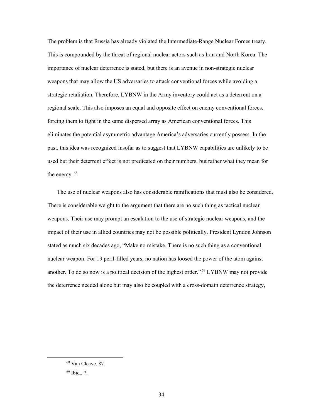The problem is that Russia has already violated the Intermediate-Range Nuclear Forces treaty. This is compounded by the threat of regional nuclear actors such as Iran and North Korea. The importance of nuclear deterrence is stated, but there is an avenue in non-strategic nuclear weapons that may allow the US adversaries to attack conventional forces while avoiding a strategic retaliation. Therefore, LYBNW in the Army inventory could act as a deterrent on a regional scale. This also imposes an equal and opposite effect on enemy conventional forces, forcing them to fight in the same dispersed array as American conventional forces. This eliminates the potential asymmetric advantage America's adversaries currently possess. In the past, this idea was recognized insofar as to suggest that LYBNW capabilities are unlikely to be used but their deterrent effect is not predicated on their numbers, but rather what they mean for the enemy.<sup>68</sup>

The use of nuclear weapons also has considerable ramifications that must also be considered. There is considerable weight to the argument that there are no such thing as tactical nuclear weapons. Their use may prompt an escalation to the use of strategic nuclear weapons, and the impact of their use in allied countries may not be possible politically. President Lyndon Johnson stated as much six decades ago, "Make no mistake. There is no such thing as a conventional nuclear weapon. For 19 peril-filled years, no nation has loosed the power of the atom against another. To do so now is a political decision of the highest order."<sup>69</sup> LYBNW may not provide the deterrence needed alone but may also be coupled with a cross-domain deterrence strategy,

<sup>68</sup> Van Cleave, 87.

 $69$  Ibid., 7.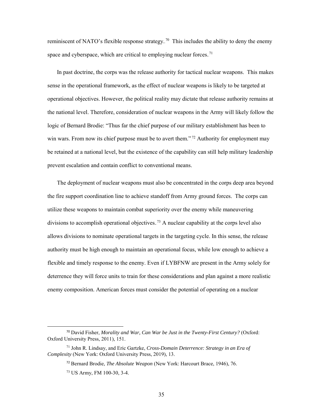reminiscent of NATO's flexible response strategy.<sup>70</sup> This includes the ability to deny the enemy space and cyberspace, which are critical to employing nuclear forces.<sup>71</sup>

In past doctrine, the corps was the release authority for tactical nuclear weapons. This makes sense in the operational framework, as the effect of nuclear weapons is likely to be targeted at operational objectives. However, the political reality may dictate that release authority remains at the national level. Therefore, consideration of nuclear weapons in the Army will likely follow the logic of Bernard Brodie: "Thus far the chief purpose of our military establishment has been to win wars. From now its chief purpose must be to avert them."<sup>72</sup> Authority for employment may be retained at a national level, but the existence of the capability can still help military leadership prevent escalation and contain conflict to conventional means.

The deployment of nuclear weapons must also be concentrated in the corps deep area beyond the fire support coordination line to achieve standoff from Army ground forces. The corps can utilize these weapons to maintain combat superiority over the enemy while maneuvering divisions to accomplish operational objectives.<sup>73</sup> A nuclear capability at the corps level also allows divisions to nominate operational targets in the targeting cycle. In this sense, the release authority must be high enough to maintain an operational focus, while low enough to achieve a flexible and timely response to the enemy. Even if LYBFNW are present in the Army solely for deterrence they will force units to train for these considerations and plan against a more realistic enemy composition. American forces must consider the potential of operating on a nuclear

 <sup>70</sup> David Fisher, *Morality and War, Can War be Just in the Twenty-First Century?* (Oxford: Oxford University Press, 2011), 151.

<sup>71</sup> John R. Lindsay, and Eric Gartzke, *Cross-Domain Deterrence: Strategy in an Era of Complexity* (New York: Oxford University Press, 2019), 13.

<sup>72</sup> Bernard Brodie, *The Absolute Weapon* (New York: Harcourt Brace, 1946), 76.

<sup>73</sup> US Army, FM 100-30, 3-4.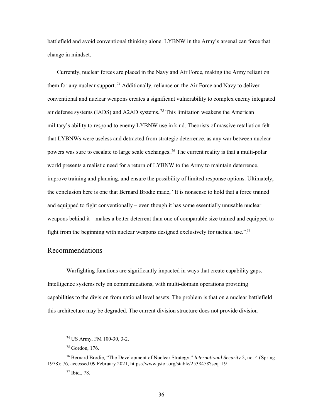battlefield and avoid conventional thinking alone. LYBNW in the Army's arsenal can force that change in mindset.

Currently, nuclear forces are placed in the Navy and Air Force, making the Army reliant on them for any nuclear support.<sup>74</sup> Additionally, reliance on the Air Force and Navy to deliver conventional and nuclear weapons creates a significant vulnerability to complex enemy integrated air defense systems (IADS) and A2AD systems.<sup>75</sup> This limitation weakens the American military's ability to respond to enemy LYBNW use in kind. Theorists of massive retaliation felt that LYBNWs were useless and detracted from strategic deterrence, as any war between nuclear powers was sure to escalate to large scale exchanges.<sup>76</sup> The current reality is that a multi-polar world presents a realistic need for a return of LYBNW to the Army to maintain deterrence, improve training and planning, and ensure the possibility of limited response options. Ultimately, the conclusion here is one that Bernard Brodie made, "It is nonsense to hold that a force trained and equipped to fight conventionally – even though it has some essentially unusable nuclear weapons behind it – makes a better deterrent than one of comparable size trained and equipped to fight from the beginning with nuclear weapons designed exclusively for tactical use." $77$ 

### Recommendations

Warfighting functions are significantly impacted in ways that create capability gaps. Intelligence systems rely on communications, with multi-domain operations providing capabilities to the division from national level assets. The problem is that on a nuclear battlefield this architecture may be degraded. The current division structure does not provide division

 $\overline{\phantom{a}}$ 

<sup>74</sup> US Army, FM 100-30, 3-2.

<sup>75</sup> Gordon, 176.

<sup>76</sup> Bernard Brodie, "The Development of Nuclear Strategy," *International Security* 2, no. 4 (Spring 1978): 76, accessed 09 February 2021, https://www.jstor.org/stable/2538458?seq=19

<sup>77</sup> Ibid., 78.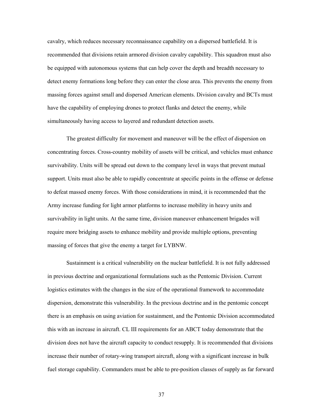cavalry, which reduces necessary reconnaissance capability on a dispersed battlefield. It is recommended that divisions retain armored division cavalry capability. This squadron must also be equipped with autonomous systems that can help cover the depth and breadth necessary to detect enemy formations long before they can enter the close area. This prevents the enemy from massing forces against small and dispersed American elements. Division cavalry and BCTs must have the capability of employing drones to protect flanks and detect the enemy, while simultaneously having access to layered and redundant detection assets.

The greatest difficulty for movement and maneuver will be the effect of dispersion on concentrating forces. Cross-country mobility of assets will be critical, and vehicles must enhance survivability. Units will be spread out down to the company level in ways that prevent mutual support. Units must also be able to rapidly concentrate at specific points in the offense or defense to defeat massed enemy forces. With those considerations in mind, it is recommended that the Army increase funding for light armor platforms to increase mobility in heavy units and survivability in light units. At the same time, division maneuver enhancement brigades will require more bridging assets to enhance mobility and provide multiple options, preventing massing of forces that give the enemy a target for LYBNW.

Sustainment is a critical vulnerability on the nuclear battlefield. It is not fully addressed in previous doctrine and organizational formulations such as the Pentomic Division. Current logistics estimates with the changes in the size of the operational framework to accommodate dispersion, demonstrate this vulnerability. In the previous doctrine and in the pentomic concept there is an emphasis on using aviation for sustainment, and the Pentomic Division accommodated this with an increase in aircraft. CL III requirements for an ABCT today demonstrate that the division does not have the aircraft capacity to conduct resupply. It is recommended that divisions increase their number of rotary-wing transport aircraft, along with a significant increase in bulk fuel storage capability. Commanders must be able to pre-position classes of supply as far forward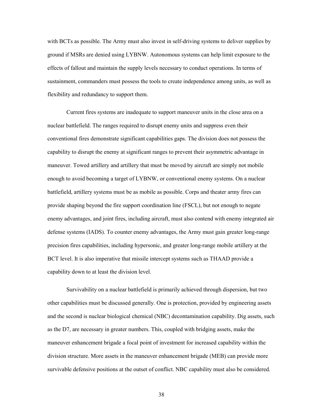with BCTs as possible. The Army must also invest in self-driving systems to deliver supplies by ground if MSRs are denied using LYBNW. Autonomous systems can help limit exposure to the effects of fallout and maintain the supply levels necessary to conduct operations. In terms of sustainment, commanders must possess the tools to create independence among units, as well as flexibility and redundancy to support them.

Current fires systems are inadequate to support maneuver units in the close area on a nuclear battlefield. The ranges required to disrupt enemy units and suppress even their conventional fires demonstrate significant capabilities gaps. The division does not possess the capability to disrupt the enemy at significant ranges to prevent their asymmetric advantage in maneuver. Towed artillery and artillery that must be moved by aircraft are simply not mobile enough to avoid becoming a target of LYBNW, or conventional enemy systems. On a nuclear battlefield, artillery systems must be as mobile as possible. Corps and theater army fires can provide shaping beyond the fire support coordination line (FSCL), but not enough to negate enemy advantages, and joint fires, including aircraft, must also contend with enemy integrated air defense systems (IADS). To counter enemy advantages, the Army must gain greater long-range precision fires capabilities, including hypersonic, and greater long-range mobile artillery at the BCT level. It is also imperative that missile intercept systems such as THAAD provide a capability down to at least the division level.

 Survivability on a nuclear battlefield is primarily achieved through dispersion, but two other capabilities must be discussed generally. One is protection, provided by engineering assets and the second is nuclear biological chemical (NBC) decontamination capability. Dig assets, such as the D7, are necessary in greater numbers. This, coupled with bridging assets, make the maneuver enhancement brigade a focal point of investment for increased capability within the division structure. More assets in the maneuver enhancement brigade (MEB) can provide more survivable defensive positions at the outset of conflict. NBC capability must also be considered.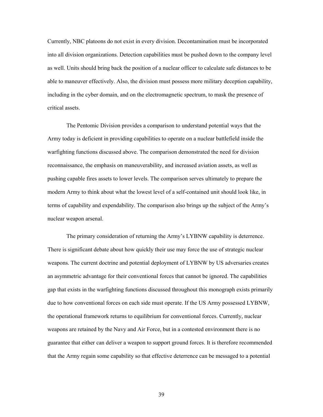Currently, NBC platoons do not exist in every division. Decontamination must be incorporated into all division organizations. Detection capabilities must be pushed down to the company level as well. Units should bring back the position of a nuclear officer to calculate safe distances to be able to maneuver effectively. Also, the division must possess more military deception capability, including in the cyber domain, and on the electromagnetic spectrum, to mask the presence of critical assets.

The Pentomic Division provides a comparison to understand potential ways that the Army today is deficient in providing capabilities to operate on a nuclear battlefield inside the warfighting functions discussed above. The comparison demonstrated the need for division reconnaissance, the emphasis on maneuverability, and increased aviation assets, as well as pushing capable fires assets to lower levels. The comparison serves ultimately to prepare the modern Army to think about what the lowest level of a self-contained unit should look like, in terms of capability and expendability. The comparison also brings up the subject of the Army's nuclear weapon arsenal.

 The primary consideration of returning the Army's LYBNW capability is deterrence. There is significant debate about how quickly their use may force the use of strategic nuclear weapons. The current doctrine and potential deployment of LYBNW by US adversaries creates an asymmetric advantage for their conventional forces that cannot be ignored. The capabilities gap that exists in the warfighting functions discussed throughout this monograph exists primarily due to how conventional forces on each side must operate. If the US Army possessed LYBNW, the operational framework returns to equilibrium for conventional forces. Currently, nuclear weapons are retained by the Navy and Air Force, but in a contested environment there is no guarantee that either can deliver a weapon to support ground forces. It is therefore recommended that the Army regain some capability so that effective deterrence can be messaged to a potential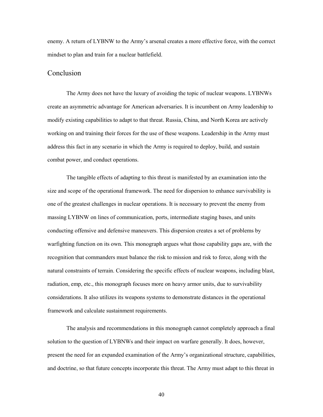enemy. A return of LYBNW to the Army's arsenal creates a more effective force, with the correct mindset to plan and train for a nuclear battlefield.

### Conclusion

The Army does not have the luxury of avoiding the topic of nuclear weapons. LYBNWs create an asymmetric advantage for American adversaries. It is incumbent on Army leadership to modify existing capabilities to adapt to that threat. Russia, China, and North Korea are actively working on and training their forces for the use of these weapons. Leadership in the Army must address this fact in any scenario in which the Army is required to deploy, build, and sustain combat power, and conduct operations.

 The tangible effects of adapting to this threat is manifested by an examination into the size and scope of the operational framework. The need for dispersion to enhance survivability is one of the greatest challenges in nuclear operations. It is necessary to prevent the enemy from massing LYBNW on lines of communication, ports, intermediate staging bases, and units conducting offensive and defensive maneuvers. This dispersion creates a set of problems by warfighting function on its own. This monograph argues what those capability gaps are, with the recognition that commanders must balance the risk to mission and risk to force, along with the natural constraints of terrain. Considering the specific effects of nuclear weapons, including blast, radiation, emp, etc., this monograph focuses more on heavy armor units, due to survivability considerations. It also utilizes its weapons systems to demonstrate distances in the operational framework and calculate sustainment requirements.

 The analysis and recommendations in this monograph cannot completely approach a final solution to the question of LYBNWs and their impact on warfare generally. It does, however, present the need for an expanded examination of the Army's organizational structure, capabilities, and doctrine, so that future concepts incorporate this threat. The Army must adapt to this threat in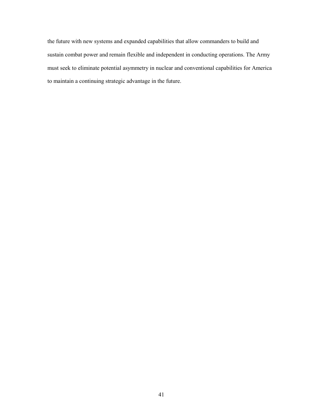the future with new systems and expanded capabilities that allow commanders to build and sustain combat power and remain flexible and independent in conducting operations. The Army must seek to eliminate potential asymmetry in nuclear and conventional capabilities for America to maintain a continuing strategic advantage in the future.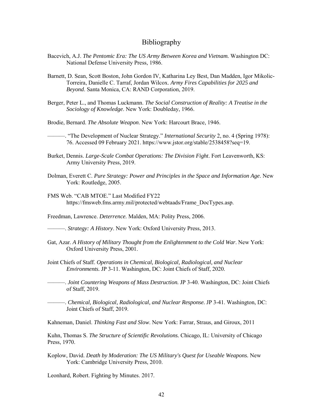#### Bibliography

- Bacevich, A.J. *The Pentomic Era: The US Army Between Korea and Vietnam.* Washington DC: National Defense University Press, 1986.
- Barnett, D. Sean, Scott Boston, John Gordon IV, Katharina Ley Best, Dan Madden, Igor Mikolic-Torreira, Danielle C. Tarraf, Jordan Wilcox. *Army Fires Capabilities for 2025 and Beyond*. Santa Monica, CA: RAND Corporation, 2019.
- Berger, Peter L., and Thomas Luckmann. *The Social Construction of Reality: A Treatise in the Sociology of Knowledge*. New York: Doubleday, 1966.
- Brodie, Bernard. *The Absolute Weapon*. New York: Harcourt Brace, 1946.
	- ———. "The Development of Nuclear Strategy." *International Security* 2, no. 4 (Spring 1978): 76. Accessed 09 February 2021. https://www.jstor.org/stable/2538458?seq=19.
- Burket, Dennis. *Large-Scale Combat Operations: The Division Fight*. Fort Leavenworth, KS: Army University Press, 2019.
- Dolman, Everett C. *Pure Strategy: Power and Principles in the Space and Information Age*. New York: Routledge, 2005.
- FMS Web. "CAB MTOE." Last Modified FY22 https://fmsweb.fms.army.mil/protected/webtaads/Frame\_DocTypes.asp.
- Freedman, Lawrence. *Deterrence.* Malden, MA: Polity Press, 2006.
- ———. *Strategy: A History*. New York: Oxford University Press, 2013.
- Gat, Azar. *A History of Military Thought from the Enlightenment to the Cold War*. New York: Oxford University Press, 2001.
- Joint Chiefs of Staff. *Operations in Chemical, Biological, Radiological, and Nuclear Environments.* JP 3-11. Washington, DC: Joint Chiefs of Staff, 2020.
- ———. *Joint Countering Weapons of Mass Destruction.* JP 3-40. Washington, DC: Joint Chiefs of Staff, 2019.
	- ———. *Chemical, Biological, Radiological, and Nuclear Response.* JP 3-41. Washington, DC: Joint Chiefs of Staff, 2019.

Kahneman, Daniel. *Thinking Fast and Slow*. New York: Farrar, Straus, and Giroux, 2011

Kuhn, Thomas S. *The Structure of Scientific Revolutions.* Chicago, IL: University of Chicago Press, 1970.

Koplow, David. *Death by Moderation: The US Military's Quest for Useable Weapons.* New York: Cambridge University Press, 2010.

Leonhard, Robert. Fighting by Minutes. 2017.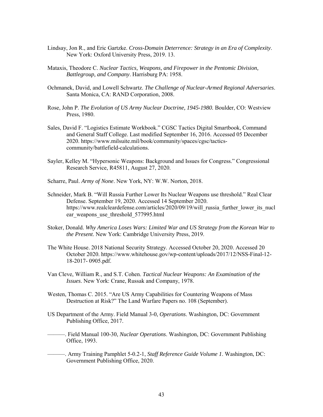- Lindsay, Jon R., and Eric Gartzke. *Cross-Domain Deterrence: Strategy in an Era of Complexity*. New York: Oxford University Press, 2019. 13.
- Mataxis, Theodore C. *Nuclear Tactics, Weapons, and Firepower in the Pentomic Division, Battlegroup, and Company*. Harrisburg PA: 1958.
- Ochmanek, David, and Lowell Schwartz. *The Challenge of Nuclear-Armed Regional Adversaries*. Santa Monica, CA: RAND Corporation, 2008.
- Rose, John P. *The Evolution of US Army Nuclear Doctrine, 1945-1980.* Boulder, CO: Westview Press, 1980.
- Sales, David F. "Logistics Estimate Workbook." CGSC Tactics Digital Smartbook, Command and General Staff College. Last modified September 16, 2016. Accessed 05 December 2020. https://www.milsuite.mil/book/community/spaces/cgsc/tacticscommunity/battlefield-calculations.
- Sayler, Kelley M. "Hypersonic Weapons: Background and Issues for Congress." Congressional Research Service, R45811, August 27, 2020.
- Scharre, Paul. *Army of None*. New York, NY: W.W. Norton, 2018.
- Schneider, Mark B. "Will Russia Further Lower Its Nuclear Weapons use threshold." Real Clear Defense. September 19, 2020. Accessed 14 September 2020. https://www.realcleardefense.com/articles/2020/09/19/will\_russia\_further\_lower\_its\_nucl ear weapons use threshold 577995.html
- Stoker, Donald. *Why America Loses Wars: Limited War and US Strategy from the Korean War to the Present*. New York: Cambridge University Press, 2019.
- The White House. 2018 National Security Strategy. Accessed October 20, 2020. Accessed 20 October 2020. https://www.whitehouse.gov/wp-content/uploads/2017/12/NSS-Final-12- 18-2017- 0905.pdf.
- Van Cleve, William R., and S.T. Cohen. *Tactical Nuclear Weapons: An Examination of the Issues*. New York: Crane, Russak and Company, 1978.
- Westen, Thomas C. 2015. "Are US Army Capabilities for Countering Weapons of Mass Destruction at Risk?" The Land Warfare Papers no. 108 (September).
- US Department of the Army. Field Manual 3-0, *Operations*. Washington, DC: Government Publishing Office, 2017.
- ———. Field Manual 100-30, *Nuclear Operations*. Washington, DC: Government Publishing Office, 1993.
	- ———. Army Training Pamphlet 5-0.2-1, *Staff Reference Guide Volume 1*. Washington, DC: Government Publishing Office, 2020.